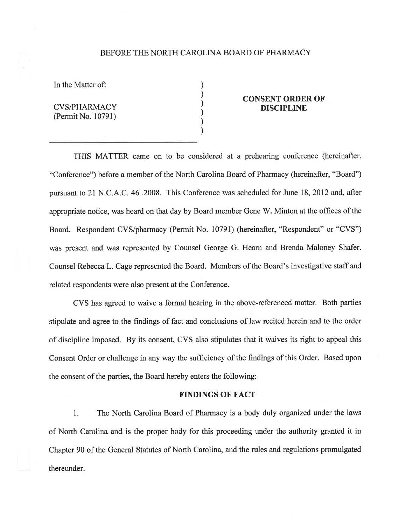## BEFORE THE NORTH CAROLINA BOARD OF PHARMACY

) ) ) ) ) )

In the Matter of:

CVS/PHARMACY (Permit No. 10791)

## CONSENT ORDER OF DISCIPLINE

THIS MATTER came on to be considered at a prehearing conference (hereinafter, "Conference") before a member of the North Carolina Board of Pharmacy (hereinafter, "Board") pursuant to 2l N.C. A.C. 46.2008. This Conference was scheduled for June 18, 2012 and, after appropriate notice, was heard on that day by Board member Gene 'W. Minton at the offices of the Board. Respondent CVS/pharmacy (Permit No. 10791) (hereinafter, "Respondent" or "CVS") was present and was represented by Counsel George G. Hearn and Brenda Maloney Shafer. Counsel Rebecca L. Cage represented the Board. Members of the Board's investigative staff and related respondents were also present at the Conference.

CVS has agreed to waive a formal hearing in the above-referenced matter. Both parties stipulate and agree to the findings of fact and conclusions of law recited herein and to the order of discipline imposed. By its consent, CVS also stipulates that it waives its right to appeal this Consent Order or challenge in any way the sufficiency of the findings of this Order. Based upon the consent of the parties, the Board hereby enters the following:

## FINDINGS OF FACT

l. The North Carolina Board of Pharmacy is a body duly organized under the laws of North Carolina and is the proper body for this proceeding under the authority granted it in Chapter 90 of the General Statutes of North Carolina, and the rules and regulations promulgated thereunder.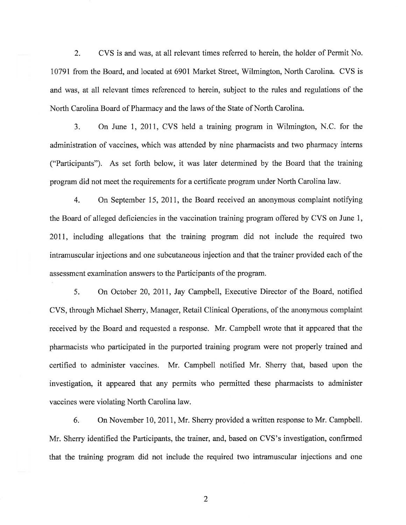2. CVS is and was, at all relevant times referred to herein, the holder of Permit No. 10791 from the Board, and located at 6901 Market Street, Wilmington, North Carolina. CVS is and was, at all relevant times referenced to herein, subject to the rules and regulations of the North Carolina Board of Pharmacy and the laws of the State of North Carolina.

3. On June 1, 2011, CVS held a training program in Wilmington, N.C. for the administration of vaccines, which was attended by nine pharmacists and two pharmacy interns ("Participants"). As set forth below, it was later determined by the Board that the training program did not meet the requirements for a certificate program under North Carolina law.

4. On September 15, 2011, the Board received an anonymous complaint notifying the Board of alleged deficiencies in the vaccination training progam offered by CVS on June 1, 2011, including allegations that the training program did not include the required two intramuscular injections and one subcutaneous injection and that the trainer provided each of the assessment examination answers to the Participants of the program.

5. On October 20, 2011, Jay Campbell, Executive Director of the Board, notified CVS, through Michael Sherry, Manager, Retail Clinical Operations, of the anonymous complaint received by the Board and requested a response. Mr. Campbell wrote that it appeared that the pharmacists who participated in the purported training program were not properly trained and certified to administer vaccines. Mr. Campbell notified Mr. Sherry that, based upon the investigation, it appeared that any permits who permitted these pharmacists to administer vaccines were violating North Carolina law.

6. On November 10, 207I, Mr. Sherry provided a written response to Mr. Campbell. Mr. Sherry identified the Participants, the trainer, and, based on CVS's investigation, confirmed that the training program did not include the required two intramuscular injections and one

2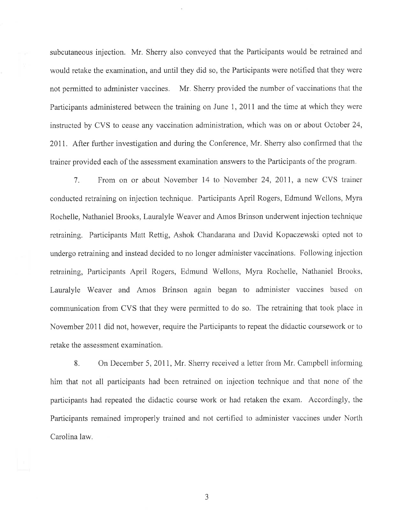subcutaneous injection, Mr. Sherry also conveyed that the Participants would be retrained and would retake the examination, and until they did so, the Participants were notified that they were not permitted to administer vaccines. Mr. Sherry provided the number of vaccinations that the Participants administered between the training on June 1, 2011 and the time at which they were instructed by CVS to cease any vaccination administration, which was on or about October 24, 2011. After further investigation and during the Conference, Mr. Sherry also confirmed that the trainer provided each of the assessment examination answers to the Participants of the program.

7. From on or about November 14 to November 24,2011, a new CVS trainer conducted retraining on injection technique. Participants April Rogers, Edmund Wellons, Myra Rochelle, Nathaniel Brooks, Lauralyle Weaver and Amos Brinson underwent injection technique retraining, Participants Matt Rettig, Ashok Chandarana and David Kopaczewski opted not to undergo retraining and instead decided to no longer administer vaccinations. Following injection retraining, Participants April Rogers, Edmund Wellons, Myra Rochelle, Nathaniel Brooks, Lauralyle Weaver and Amos Brinson again began to administer vaccines based on communication from CVS that they were permitted to do so. The retraining that took place in November 2011 did not, however, require the Participants to repeat the didactic coursework or to retake the assessment examination.

8. On December 5, 2011, Mr. Sherry received a letter from Mr. Campbell informing him that not all participants had been retrained on injection technique and that none of the participants had repeated the didactic course work or had retaken the exam. Accordingly, the Participants remained improperly trained and not certified to administer vaccines under North Carolina law.

4 J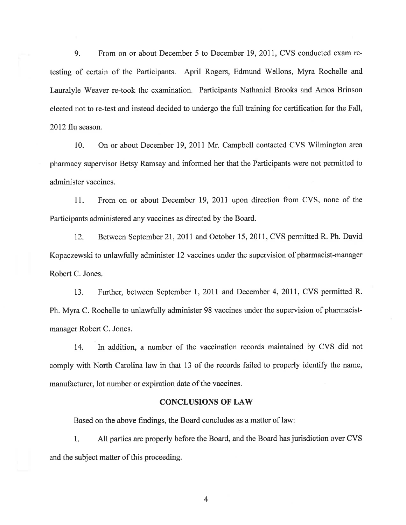9. From on or about December 5 to December 19, 2011, CVS conducted exam retesting of certain of the Participants. April Rogers, Edmund Wellons, Myra Rochelle and Lauralyle 'Weaver re-took the examination. Participants Nathaniel Brooks and Amos Brinson elected not to re-test and instead decided to undergo the fulItraining for certification for the Fall, 2012 flu season.

10. On or about December 19,20ll Mr. Campbell contacted CVS Wilmington area pharmacy supervisor Betsy Ramsay and informed her that the Participants were not permitted to administer vaccines.

11. From on or about December 19, 2011 upon direction from CVS, none of the Participants administered any vaccines as directed by the Board.

12. Between September 2l,20ll and October 15,2011, CVS permitted R. Ph. David Kopaczewski to unlawfully administer 12 vaccines under the supervision of pharmacist-manager Robert C. Jones.

13. Further, between September l,20ll and December 4,2011, CVS permitted R. Ph. Myra C. Rochelle to unlawfully administer 98 vaccines under the supervision of pharmacistmanager Robert C. Jones.

14. In addition, a number of the vaccination records maintained by CVS did not comply with North Carolina law in that 13 of the records failed to properly identify the name, manufacturer, lot number or expiration date of the vaccines.

## **CONCLUSIONS OF LAW**

Based on the above findings, the Board concludes as a matter of law:

1 All parties are properly before the Board, and the Board has jurisdiction over CVS and the subject matter of this proceeding.

4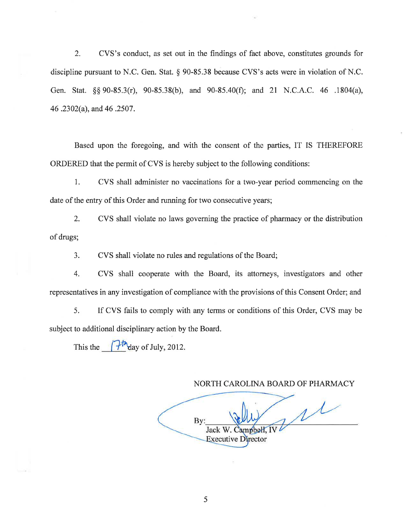2. CVS's conduct, as set out in the findings of fact above, constitutes grounds for discipline pursuant to N.C. Gen. Stat. \$ 90-85.38 because CVS's acts were in violation of N.C. Gen. Stat. \$\$ 90-85.3(r), 90-85.38(b), and 90-85.40(Ð; and 2l N.C.A.C. 46 .1804(a), 46 .2302(a), and 46 .2507 .

Based upon the foregoing, and with the consent of the parties, IT IS THEREFORE ORDERED that the permit of CVS is hereby subject to the following conditions:

1. CVS shall administer no vaccinations for a two-year period commencing on the date of the entry of this Order and running for two consecutive years;

2. CVS shall violate no laws governing the practice of pharmacy or the distribution of drugs;

3. CVS shall violate no rules and regulations of the Board;

4. CVS shall cooperate with the Board, its attorneys, investigators and other representatives in any investigation of compliance with the provisions of this Consent Order; and

5. If CVS fails to comply with any terms or conditions of this Order, CVS may be subject to additional disciplinary action by the Board.

This the  $\int \frac{\partial \ln \theta}{\partial x}$  of July, 2012.

NORTH CAROLINA BOARD OF PHARMACY

 $\mu$ Bv: Jack W. Campbell, IV Executive Director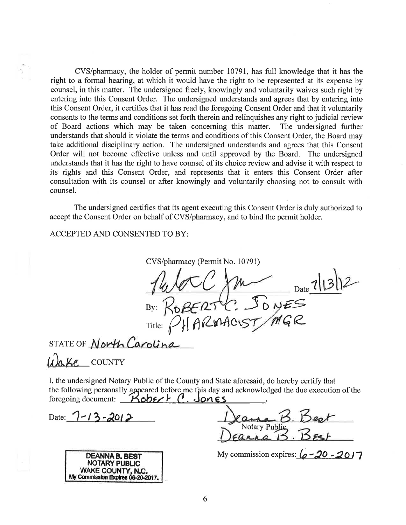CVS/pharmacy, the holder of permit number 10791, has full knowledge that it has the right to a formal hearing, at which it would have the right to be represented at its expense by counsel, in this matter. The undersigned freely, knowingly and voluntarily waives such right by entering into this Consent Order. The undersigned understands and agrees that by entering into this Consent Order, it certifies that it has read the foregoing Consent Order and that it voluntarily consents to the terms and conditions set forth therein and relinquishes any right to judicial review of Board actions which may be taken concerning this matter. The undersigned further understands that should it violate the terms and conditions of this Consent Order, the Board may take additional disciplinary action. The undersigned understands and agrees that this Consent Order will not become effective unless and until approved by the Board. The undersigned understands that it has the right to have counsel of its choice review and advise it with respect to its rights and this Consent Order, and represents that it enters this Consent Order after consultation with its counsel or after knowingly and voluntarily choosing not to consult with counsel.

The undersigned certifies that its agent executing this Consent Order is duly authorized to accept the Consent Order on behalf of CVS/pharmacy, and to bind the permit holder.

ACCEPTED AND CONSENTED TO BY:

CVS/pharmacy (Permit No. 10791) CC MA<br>ZERTC: JONES<br>ARMACIST/MGR By:  $\mathcal{R}_{\star}$ 

STATE OF North Carolina

Li)ake countr

I, the undersigned Notary Public of the County and State aforesaid, do hereby certify that the following personally appeared before me this day and acknowledged the due execution of the foregoing document:  $\overrightarrow{Kob} \in P$ . Jongs

Date:  $7 - 13 - 2012$ 



Notary Public

My commission expires:  $6 - 20 - 2017$